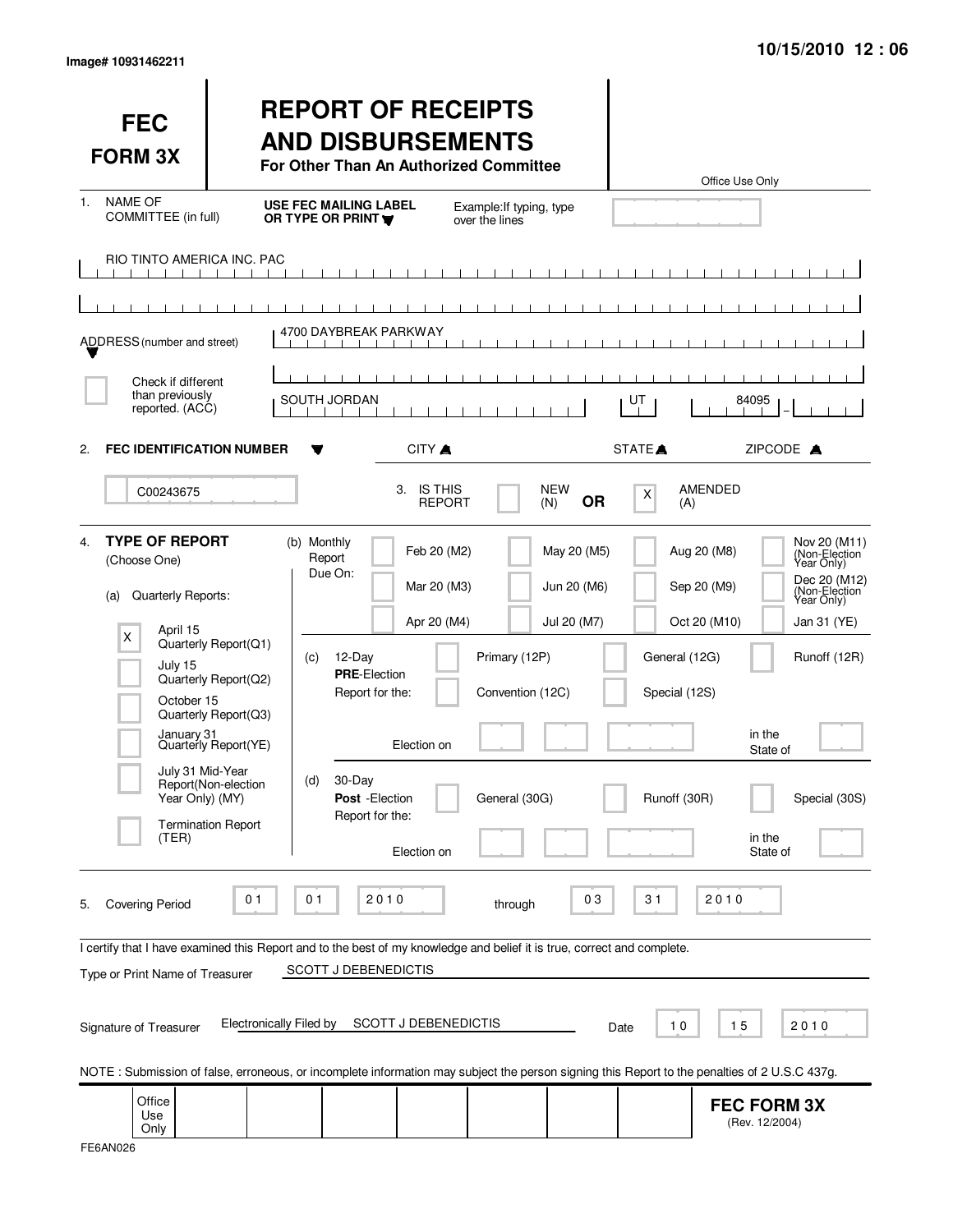| <b>FEC</b><br><b>FORM 3X</b>                                                                                                                                                                                         |                                                                                                                                                  | <b>REPORT OF RECEIPTS</b><br><b>AND DISBURSEMENTS</b><br>For Other Than An Authorized Committee                                                    |                                                                                                                               |                                           |                                                | Office Use Only                                                                                                                                                                                                         |
|----------------------------------------------------------------------------------------------------------------------------------------------------------------------------------------------------------------------|--------------------------------------------------------------------------------------------------------------------------------------------------|----------------------------------------------------------------------------------------------------------------------------------------------------|-------------------------------------------------------------------------------------------------------------------------------|-------------------------------------------|------------------------------------------------|-------------------------------------------------------------------------------------------------------------------------------------------------------------------------------------------------------------------------|
| <b>NAME OF</b><br>1.<br>COMMITTEE (in full)                                                                                                                                                                          |                                                                                                                                                  | <b>USE FEC MAILING LABEL</b><br>OR TYPE OR PRINT                                                                                                   | Example: If typing, type<br>over the lines                                                                                    |                                           |                                                |                                                                                                                                                                                                                         |
| <b>RIO TINTO AMERICA INC. PAC</b><br>$\mathbf{1}$<br>ADDRESS (number and street)                                                                                                                                     |                                                                                                                                                  | 4700 DAYBREAK PARKWAY                                                                                                                              |                                                                                                                               |                                           |                                                |                                                                                                                                                                                                                         |
| Check if different<br>than previously<br>reported. (ACC)                                                                                                                                                             |                                                                                                                                                  | SOUTH JORDAN                                                                                                                                       |                                                                                                                               |                                           | UT                                             | 84095                                                                                                                                                                                                                   |
| <b>FEC IDENTIFICATION NUMBER</b><br>2.                                                                                                                                                                               |                                                                                                                                                  |                                                                                                                                                    | CITY A                                                                                                                        |                                           | STATE <sup>A</sup>                             | ZIPCODE A                                                                                                                                                                                                               |
| C00243675                                                                                                                                                                                                            |                                                                                                                                                  | 3.                                                                                                                                                 | <b>IS THIS</b><br><b>REPORT</b>                                                                                               | <b>NEW</b><br><b>OR</b><br>(N)            | X<br>(A)                                       | <b>AMENDED</b>                                                                                                                                                                                                          |
| <b>TYPE OF REPORT</b><br>$\mathbf{4}$<br>(Choose One)<br>Quarterly Reports:<br>(a)<br>April 15<br>X<br>July 15<br>October 15<br>January 31<br>July 31 Mid-Year<br>Year Only) (MY)<br>(TER)                           | Quarterly Report(Q1)<br>Quarterly Report(Q2)<br>Quarterly Report(Q3)<br>Quarterly Report(YE)<br>Report(Non-election<br><b>Termination Report</b> | (b) Monthly<br>Report<br>Due On:<br>12-Day<br>(c)<br><b>PRE-Election</b><br>Report for the:<br>30-Day<br>(d)<br>Post - Election<br>Report for the: | Feb 20 (M2)<br>Mar 20 (M3)<br>Apr 20 (M4)<br>Primary (12P)<br>Convention (12C)<br>Election on<br>General (30G)<br>Election on | May 20 (M5)<br>Jun 20 (M6)<br>Jul 20 (M7) | General (12G)<br>Special (12S)<br>Runoff (30R) | Nov 20 (M11)<br>Aug 20 (M8)<br>(Non-Election)<br>Dec 20 (M12)<br>Sep 20 (M9)<br>(Non-Election<br>Year Only)<br>Oct 20 (M10)<br>Jan 31 (YE)<br>Runoff (12R)<br>in the<br>State of<br>Special (30S)<br>in the<br>State of |
| <b>Covering Period</b><br>5.<br>I certify that I have examined this Report and to the best of my knowledge and belief it is true, correct and complete.<br>Type or Print Name of Treasurer<br>Signature of Treasurer | 0 <sub>1</sub><br><b>Electronically Filed by</b>                                                                                                 | 0 <sub>1</sub><br>2010<br><b>SCOTT J DEBENEDICTIS</b>                                                                                              | through<br>SCOTT J DEBENEDICTIS                                                                                               | 03                                        | 31<br>10<br>Date                               | 2010<br>15<br>2010<br>NOTE: Submission of false, erroneous, or incomplete information may subject the person signing this Report to the penalties of 2 U.S.C 437g.                                                      |
| Office<br>Use<br>Only                                                                                                                                                                                                |                                                                                                                                                  |                                                                                                                                                    |                                                                                                                               |                                           |                                                | <b>FEC FORM 3X</b><br>(Rev. 12/2004)                                                                                                                                                                                    |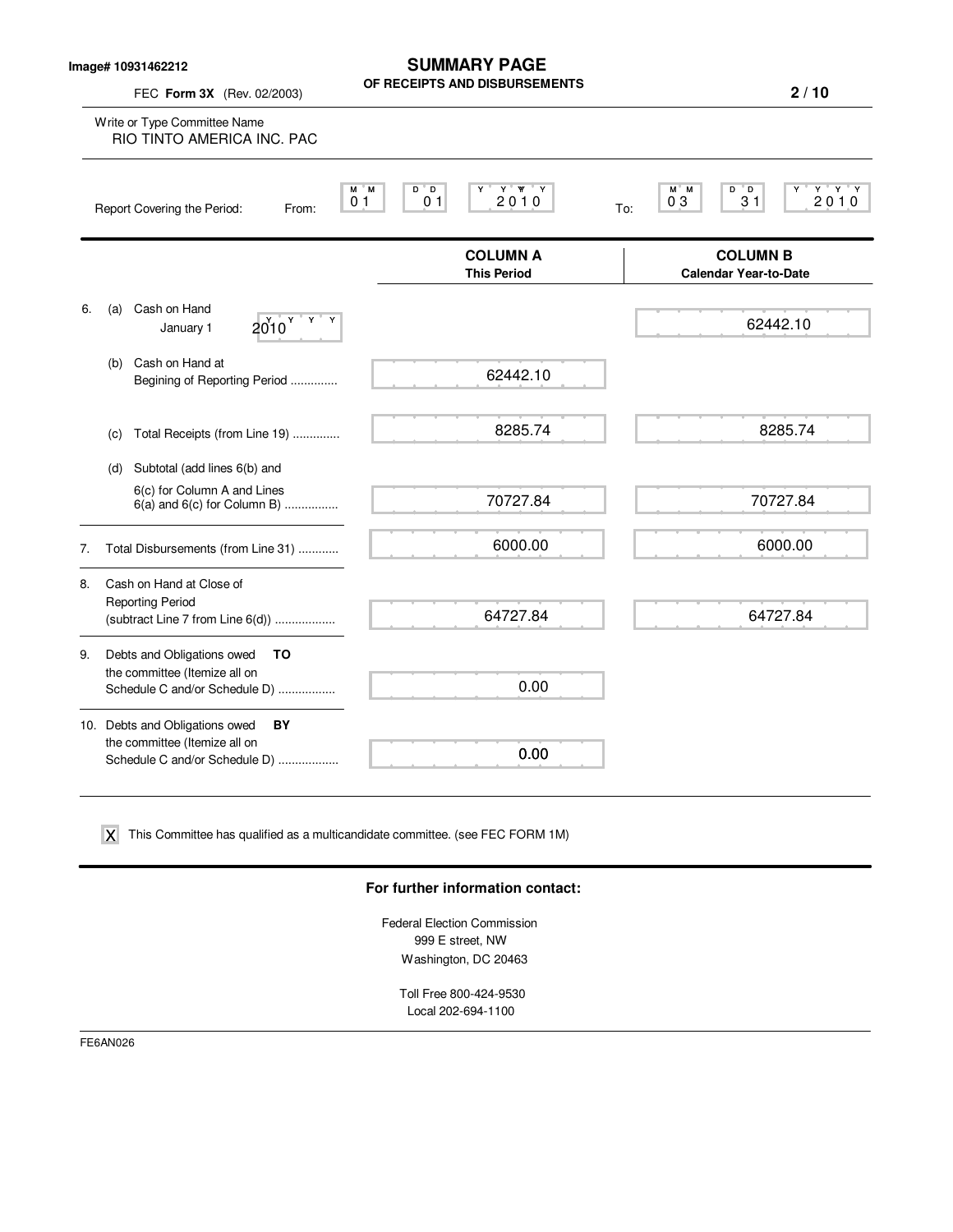**Image# 10931462212**

FEC **Form 3X** (Rev. 02/2003)

**SUMMARY PAGE OF RECEIPTS AND DISBURSEMENTS**

|    | Write or Type Committee Name<br>RIO TINTO AMERICA INC. PAC     |                                        |                                                                  |
|----|----------------------------------------------------------------|----------------------------------------|------------------------------------------------------------------|
|    | M M<br>0 <sub>1</sub><br>Report Covering the Period:<br>From:  | Y Y Y<br>D D<br>2010<br>0 <sub>1</sub> | $Y$ $Y$ $Y$<br>M M<br>D D<br>2010<br>0 <sub>3</sub><br>31<br>To: |
|    |                                                                | <b>COLUMN A</b><br><b>This Period</b>  | <b>COLUMN B</b><br><b>Calendar Year-to-Date</b>                  |
| 6. | Cash on Hand<br>(a)<br>$2010^{Y+Y}$<br>January 1               |                                        | 62442.10                                                         |
|    | Cash on Hand at<br>(b)<br>Begining of Reporting Period         | 62442.10                               |                                                                  |
|    | Total Receipts (from Line 19)<br>(c)                           | 8285.74                                | 8285.74                                                          |
|    | Subtotal (add lines 6(b) and<br>(d)                            |                                        |                                                                  |
|    | 6(c) for Column A and Lines<br>$6(a)$ and $6(c)$ for Column B) | 70727.84                               | 70727.84                                                         |
| 7. | Total Disbursements (from Line 31)                             | 6000.00                                | 6000.00                                                          |
| 8. | Cash on Hand at Close of                                       |                                        |                                                                  |
|    | <b>Reporting Period</b><br>(subtract Line 7 from Line 6(d))    | 64727.84                               | 64727.84                                                         |
| 9. | Debts and Obligations owed<br>TO                               |                                        |                                                                  |
|    | the committee (Itemize all on<br>Schedule C and/or Schedule D) | 0.00                                   |                                                                  |
|    | 10. Debts and Obligations owed<br>BY                           |                                        |                                                                  |
|    | the committee (Itemize all on<br>Schedule C and/or Schedule D) | 0.00                                   |                                                                  |

 $\boldsymbol{\mathsf{X}}$  This Committee has qualified as a multicandidate committee. (see FEC FORM 1M)

### **For further information contact:**

Federal Election Commission 999 E street, NW Washington, DC 20463

Toll Free 800-424-9530 Local 202-694-1100

FE6AN026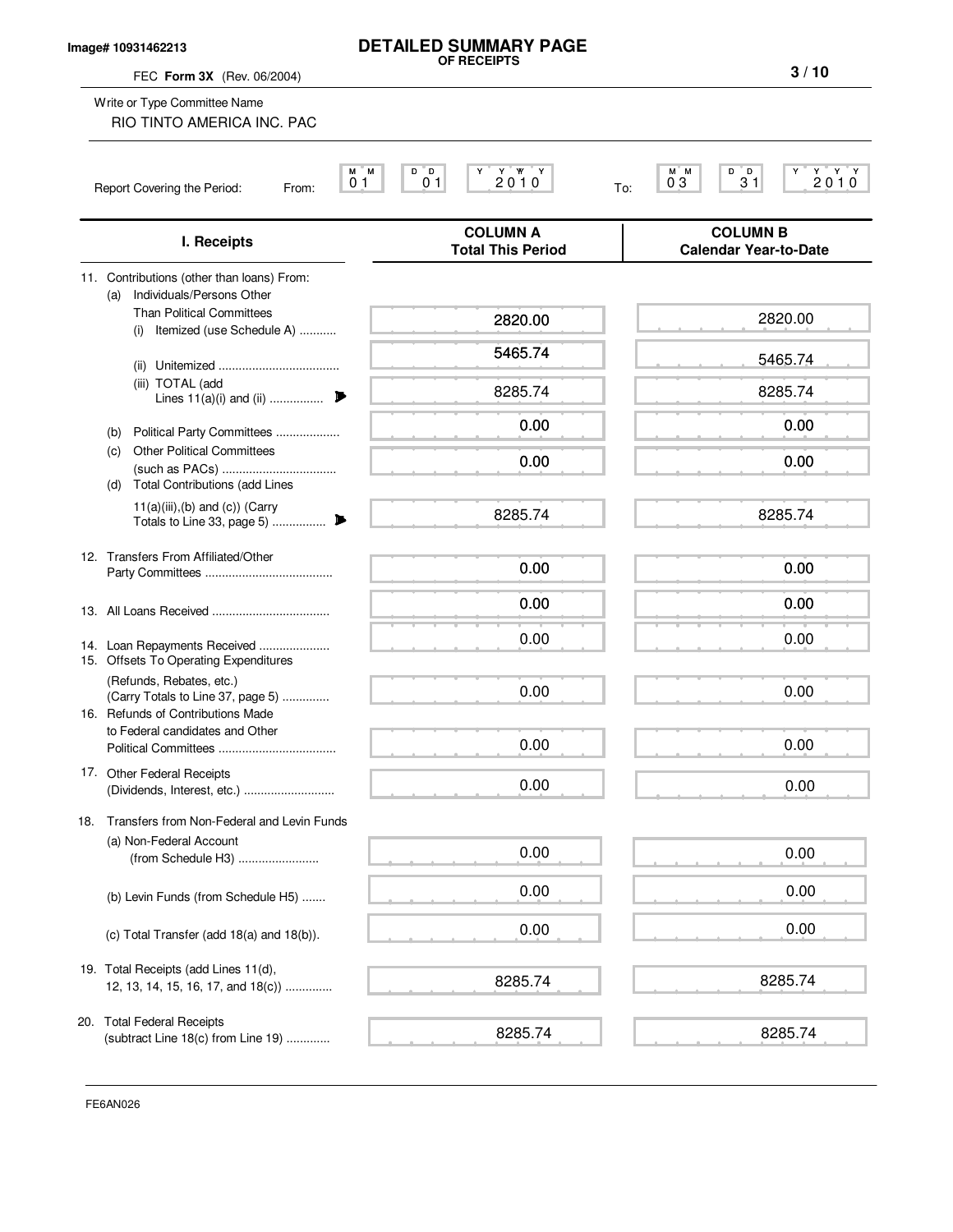### **Image# 10931462213**

# **DETAILED SUMMARY PAGE OF RECEIPTS**

FEC **Form 3X** (Rev. 06/2004)

**3 / 10**

| Write or Type Committee Name<br>RIO TINTO AMERICA INC. PAC                                                                                                                                                                                                                                                                                |                                               |                                                   |
|-------------------------------------------------------------------------------------------------------------------------------------------------------------------------------------------------------------------------------------------------------------------------------------------------------------------------------------------|-----------------------------------------------|---------------------------------------------------|
| M M<br>0 <sub>1</sub><br>Report Covering the Period:<br>From:                                                                                                                                                                                                                                                                             | D D<br>Y W Y<br>2010<br>0 <sub>1</sub>        | D D<br>ү ү ү<br>2 0 1 0<br>M M<br>03<br>31<br>To: |
| I. Receipts                                                                                                                                                                                                                                                                                                                               | <b>COLUMN A</b><br><b>Total This Period</b>   | <b>COLUMN B</b><br><b>Calendar Year-to-Date</b>   |
| 11. Contributions (other than loans) From:<br>Individuals/Persons Other<br>(a)<br><b>Than Political Committees</b><br>Itemized (use Schedule A)<br>(ii)<br>(iii) TOTAL (add<br>Lines $11(a)(i)$ and (ii)<br>Political Party Committees<br>(b)<br><b>Other Political Committees</b><br>(c)<br><b>Total Contributions (add Lines</b><br>(d) | 2820.00<br>5465.74<br>8285.74<br>0.00<br>0.00 | 2820.00<br>5465.74<br>8285.74<br>0.00<br>0.00     |
| $11(a)(iii),(b)$ and $(c)$ ) (Carry<br>12. Transfers From Affiliated/Other                                                                                                                                                                                                                                                                | 8285.74                                       | 8285.74                                           |
| 14. Loan Repayments Received                                                                                                                                                                                                                                                                                                              | 0.00<br>0.00<br>0.00                          | 0.00<br>0.00<br>0.00                              |
| 15. Offsets To Operating Expenditures<br>(Refunds, Rebates, etc.)<br>(Carry Totals to Line 37, page 5)<br>16. Refunds of Contributions Made<br>to Federal candidates and Other                                                                                                                                                            | 0.00<br>0.00                                  | 0.00<br>0.00                                      |
| 17. Other Federal Receipts                                                                                                                                                                                                                                                                                                                | 0.00                                          | 0.00                                              |
| Transfers from Non-Federal and Levin Funds<br>18.<br>(a) Non-Federal Account<br>(from Schedule H3)                                                                                                                                                                                                                                        | 0.00                                          | 0.00                                              |
| (b) Levin Funds (from Schedule H5)                                                                                                                                                                                                                                                                                                        | 0.00<br>0.00                                  | 0.00<br>0.00                                      |
| (c) Total Transfer (add 18(a) and 18(b)).<br>19. Total Receipts (add Lines 11(d),<br>12, 13, 14, 15, 16, 17, and 18(c))                                                                                                                                                                                                                   | 8285.74                                       | 8285.74                                           |
| 20. Total Federal Receipts<br>(subtract Line 18(c) from Line 19)                                                                                                                                                                                                                                                                          | 8285.74                                       | 8285.74                                           |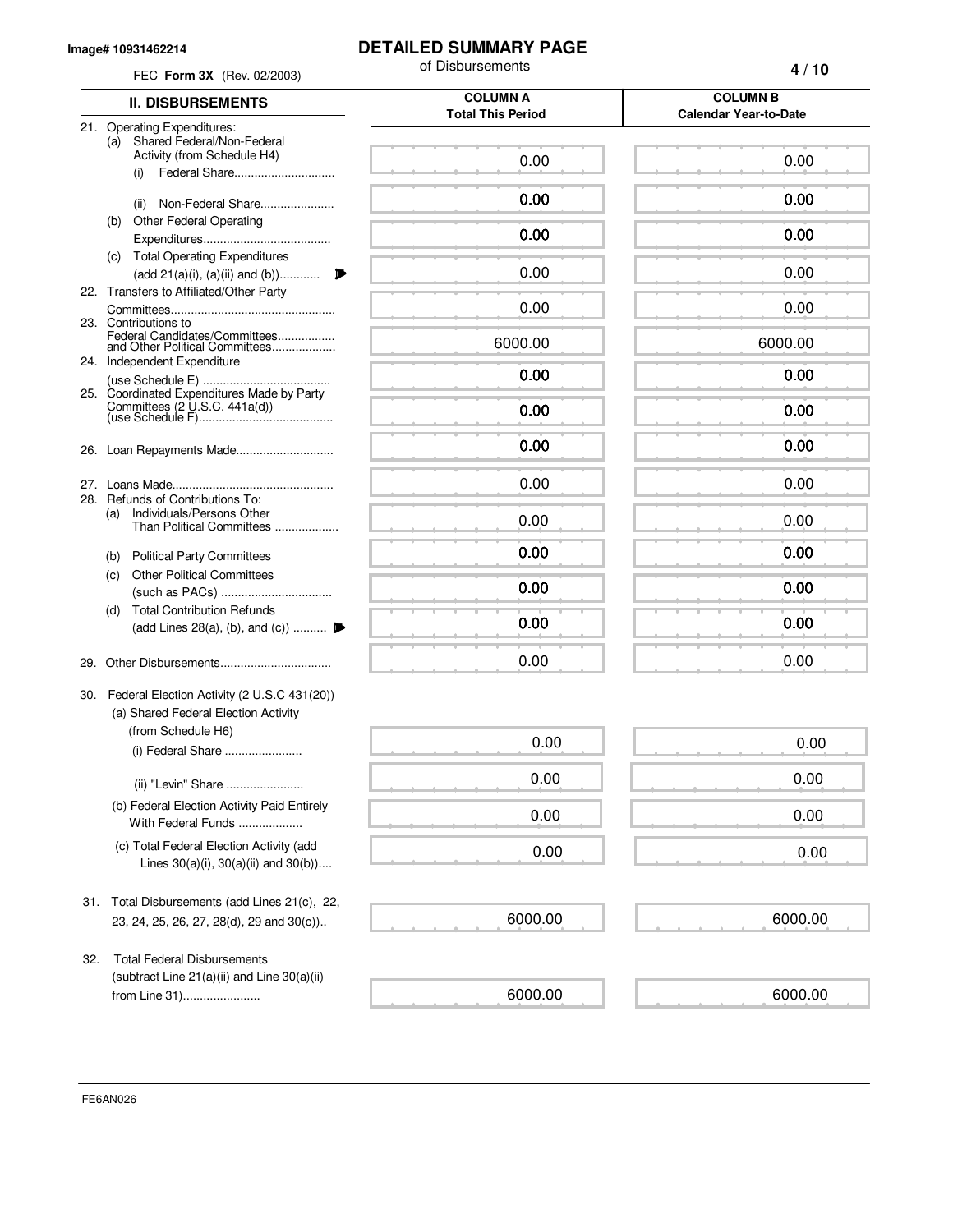#### **Image# 10931462214**

## **DETAILED SUMMARY PAGE**

|     | FEC Form 3X (Rev. 02/2003)                                                                        | of Disbursements                            | 4/10                                            |  |  |  |
|-----|---------------------------------------------------------------------------------------------------|---------------------------------------------|-------------------------------------------------|--|--|--|
|     | <b>II. DISBURSEMENTS</b>                                                                          | <b>COLUMN A</b><br><b>Total This Period</b> | <b>COLUMN B</b><br><b>Calendar Year-to-Date</b> |  |  |  |
|     | 21. Operating Expenditures:<br>Shared Federal/Non-Federal                                         |                                             |                                                 |  |  |  |
|     | (a)<br>Activity (from Schedule H4)<br>Federal Share<br>(i)                                        | 0.00                                        | 0.00                                            |  |  |  |
|     | Non-Federal Share<br>(ii)                                                                         | 0.00                                        | 0.00                                            |  |  |  |
|     | <b>Other Federal Operating</b><br>(b)                                                             | 0.00                                        | 0.00                                            |  |  |  |
|     | (c) Total Operating Expenditures                                                                  | 0.00                                        | 0.00                                            |  |  |  |
|     | (add 21(a)(i), (a)(ii) and (b))<br>22. Transfers to Affiliated/Other Party                        |                                             |                                                 |  |  |  |
|     | 23. Contributions to                                                                              | 0.00                                        | 0.00                                            |  |  |  |
|     | Federal Candidates/Committees<br>and Other Political Committees<br>24. Independent Expenditure    | 6000.00                                     | 6000.00                                         |  |  |  |
|     |                                                                                                   | 0.00                                        | 0.00                                            |  |  |  |
|     | 25. Coordinated Expenditures Made by Party                                                        | 0.00                                        | 0.00                                            |  |  |  |
|     |                                                                                                   | 0.00                                        | 0.00                                            |  |  |  |
|     |                                                                                                   | 0.00                                        | 0.00                                            |  |  |  |
|     | 28. Refunds of Contributions To:<br>Individuals/Persons Other<br>(a)<br>Than Political Committees | 0.00                                        | 0.00                                            |  |  |  |
|     | (b) Political Party Committees                                                                    | 0.00                                        | 0.00                                            |  |  |  |
|     | <b>Other Political Committees</b><br>(c)                                                          | 0.00                                        | 0.00                                            |  |  |  |
|     | <b>Total Contribution Refunds</b><br>(d)                                                          | 0.00                                        | 0.00                                            |  |  |  |
|     | (add Lines 28(a), (b), and (c))                                                                   |                                             |                                                 |  |  |  |
|     |                                                                                                   | 0.00                                        | 0.00                                            |  |  |  |
|     | 30. Federal Election Activity (2 U.S.C 431(20))<br>(a) Shared Federal Election Activity           |                                             |                                                 |  |  |  |
|     | (from Schedule H6)<br>(i) Federal Share                                                           | 0.00                                        | 0.00                                            |  |  |  |
|     | (ii) "Levin" Share                                                                                | 0.00                                        | 0.00                                            |  |  |  |
|     | (b) Federal Election Activity Paid Entirely<br>With Federal Funds                                 | 0.00                                        | 0.00                                            |  |  |  |
|     | (c) Total Federal Election Activity (add<br>Lines $30(a)(i)$ , $30(a)(ii)$ and $30(b)$ )          | 0.00                                        | 0.00                                            |  |  |  |
| 31. | Total Disbursements (add Lines 21(c), 22,                                                         |                                             |                                                 |  |  |  |
|     | 23, 24, 25, 26, 27, 28(d), 29 and 30(c))                                                          | 6000.00                                     | 6000.00                                         |  |  |  |
| 32. | <b>Total Federal Disbursements</b><br>(subtract Line $21(a)(ii)$ and Line $30(a)(ii)$             |                                             |                                                 |  |  |  |
|     | from Line 31)                                                                                     | 6000.00                                     | 6000.00                                         |  |  |  |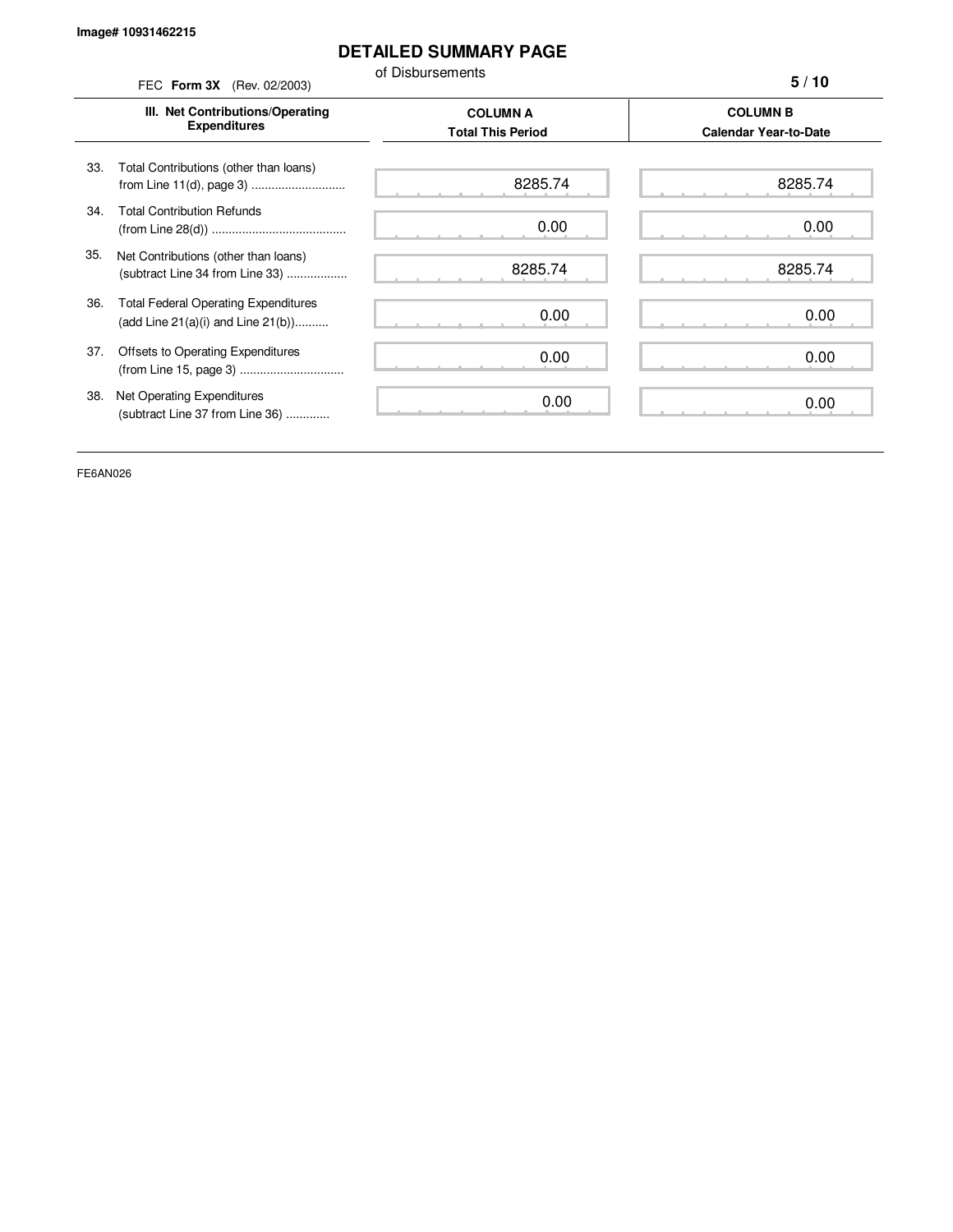# **DETAILED SUMMARY PAGE**

of Disbursements FEC **Form 3X** (Rev. 02/2003)

**5 / 10**

|     | III. Net Contributions/Operating<br><b>Expenditures</b>                                | <b>COLUMN A</b><br><b>Total This Period</b> |         |  |  |
|-----|----------------------------------------------------------------------------------------|---------------------------------------------|---------|--|--|
| 33. | Total Contributions (other than loans)                                                 | 8285.74                                     | 8285.74 |  |  |
| 34. | <b>Total Contribution Refunds</b>                                                      | 0.00                                        | 0.00    |  |  |
| 35. | Net Contributions (other than loans)<br>(subtract Line 34 from Line 33)                | 8285.74                                     | 8285.74 |  |  |
| 36. | <b>Total Federal Operating Expenditures</b><br>(add Line $21(a)(i)$ and Line $21(b)$ ) | 0.00                                        | 0.00    |  |  |
| 37. | Offsets to Operating Expenditures                                                      | 0.00                                        | 0.00    |  |  |
| 38. | Net Operating Expenditures<br>(subtract Line 37 from Line 36)                          | 0.00                                        | 0.00    |  |  |

FE6AN026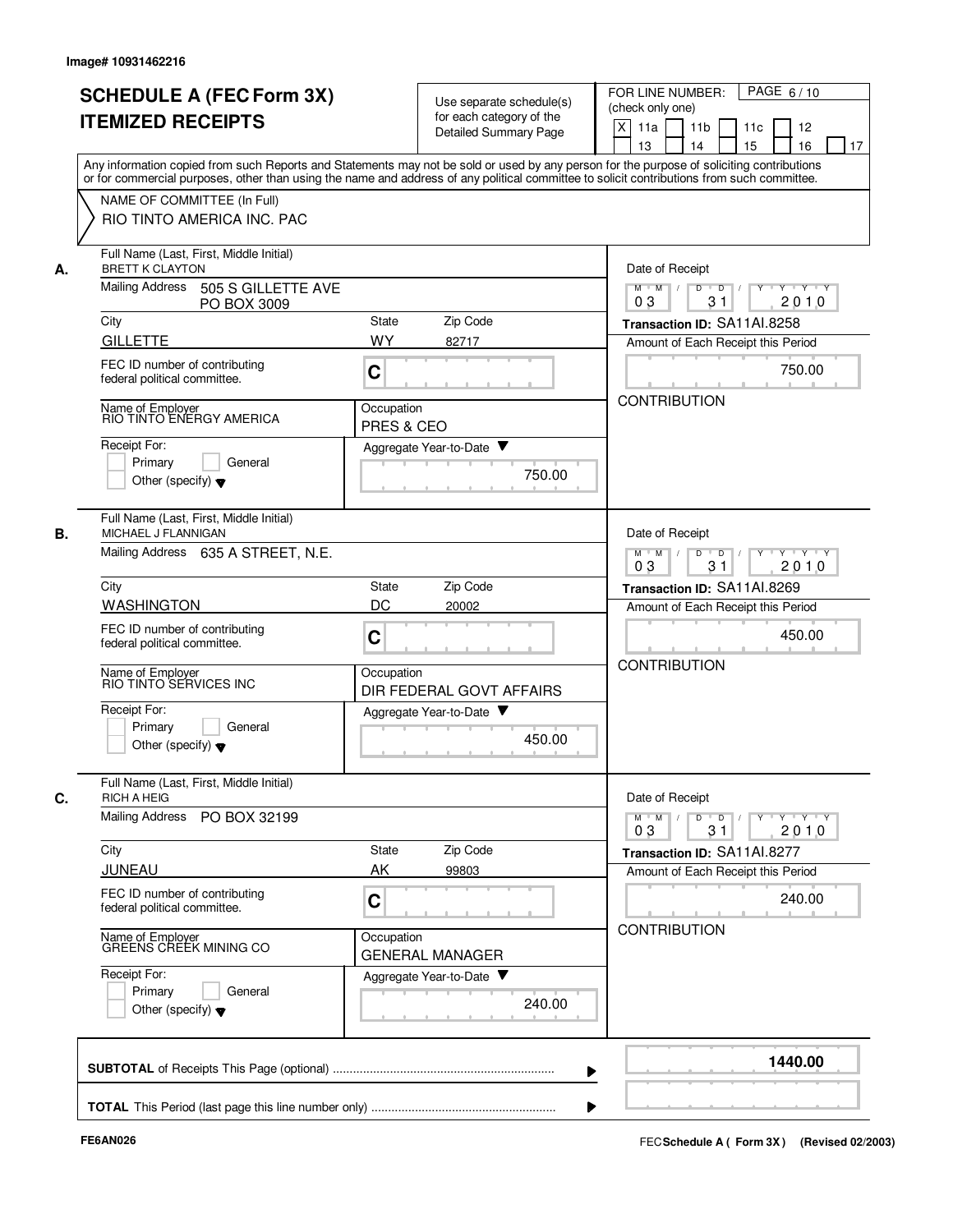|    | <b>SCHEDULE A (FEC Form 3X)</b><br><b>ITEMIZED RECEIPTS</b><br>Any information copied from such Reports and Statements may not be sold or used by any person for the purpose of soliciting contributions |                          | Use separate schedule(s)<br>for each category of the<br>Detailed Summary Page | PAGE 6/10<br>FOR LINE NUMBER:<br>(check only one)<br>$\mathsf{X}$<br>11a<br>11 <sub>b</sub><br>11c<br>12<br>16<br>13<br>14<br>15<br>17 |
|----|----------------------------------------------------------------------------------------------------------------------------------------------------------------------------------------------------------|--------------------------|-------------------------------------------------------------------------------|----------------------------------------------------------------------------------------------------------------------------------------|
|    | or for commercial purposes, other than using the name and address of any political committee to solicit contributions from such committee.<br>NAME OF COMMITTEE (In Full)<br>RIO TINTO AMERICA INC. PAC  |                          |                                                                               |                                                                                                                                        |
| А. | Full Name (Last, First, Middle Initial)<br><b>BRETT K CLAYTON</b><br>Mailing Address<br>505 S GILLETTE AVE                                                                                               |                          |                                                                               | Date of Receipt<br>$M$ $M$ /<br>$Y - Y - Y$<br>D<br>$\overline{D}$                                                                     |
|    | PO BOX 3009                                                                                                                                                                                              |                          |                                                                               | 31<br>2010<br>03                                                                                                                       |
|    | City<br><b>GILLETTE</b>                                                                                                                                                                                  | <b>State</b><br>WY       | Zip Code<br>82717                                                             | Transaction ID: SA11AI.8258<br>Amount of Each Receipt this Period                                                                      |
|    | FEC ID number of contributing<br>federal political committee.                                                                                                                                            | C                        |                                                                               | 750.00                                                                                                                                 |
|    | Name of Employer<br>RIO TINTO ENERGY AMERICA                                                                                                                                                             | Occupation<br>PRES & CEO |                                                                               | <b>CONTRIBUTION</b>                                                                                                                    |
|    | Receipt For:<br>Primary<br>General<br>Other (specify) $\blacktriangledown$                                                                                                                               |                          | Aggregate Year-to-Date ▼<br>750.00                                            |                                                                                                                                        |
| В. | Full Name (Last, First, Middle Initial)<br>MICHAEL J FLANNIGAN                                                                                                                                           |                          |                                                                               | Date of Receipt                                                                                                                        |
|    | Mailing Address 635 A STREET, N.E.                                                                                                                                                                       |                          |                                                                               | D<br>Y Y Y Y<br>$M$ M<br>$\prime$<br>$\overline{D}$<br>2010<br>03<br>31                                                                |
|    | City                                                                                                                                                                                                     | State                    | Zip Code                                                                      | Transaction ID: SA11Al.8269                                                                                                            |
|    | <b>WASHINGTON</b>                                                                                                                                                                                        | DC                       | 20002                                                                         | Amount of Each Receipt this Period                                                                                                     |
|    | FEC ID number of contributing<br>federal political committee.                                                                                                                                            | $\mathbf C$              |                                                                               | 450.00<br><b>CONTRIBUTION</b>                                                                                                          |
|    | Name of Employer<br>RIO TINTO SERVICES INC                                                                                                                                                               | Occupation               | DIR FEDERAL GOVT AFFAIRS                                                      |                                                                                                                                        |
|    | Receipt For:<br>Primary<br>General<br>Other (specify) $\blacktriangledown$                                                                                                                               |                          | Aggregate Year-to-Date<br>450.00                                              |                                                                                                                                        |
| C. | Full Name (Last, First, Middle Initial)<br><b>RICH A HEIG</b>                                                                                                                                            |                          |                                                                               | Date of Receipt                                                                                                                        |
|    | Mailing Address PO BOX 32199                                                                                                                                                                             |                          |                                                                               | $Y$ $Y$ $Y$ $Y$<br>$M$ $M$<br>$D$ $D$ $I$<br>$Y$ <sup>U</sup><br>31<br>2010<br>03                                                      |
|    | City                                                                                                                                                                                                     | State                    | Zip Code                                                                      | Transaction ID: SA11AI.8277                                                                                                            |
|    | JUNEAU<br>FEC ID number of contributing                                                                                                                                                                  | AK<br>C                  | 99803                                                                         | Amount of Each Receipt this Period<br>240.00                                                                                           |
|    | federal political committee.<br>Name of Employer<br>GREENS CREEK MINING CO                                                                                                                               | Occupation               |                                                                               | <b>CONTRIBUTION</b>                                                                                                                    |
|    |                                                                                                                                                                                                          |                          | <b>GENERAL MANAGER</b>                                                        |                                                                                                                                        |
|    | Receipt For:<br>Primary<br>General<br>Other (specify) $\blacktriangledown$                                                                                                                               |                          | Aggregate Year-to-Date<br>240.00                                              |                                                                                                                                        |
|    |                                                                                                                                                                                                          |                          |                                                                               | 1440.00                                                                                                                                |
|    |                                                                                                                                                                                                          |                          |                                                                               |                                                                                                                                        |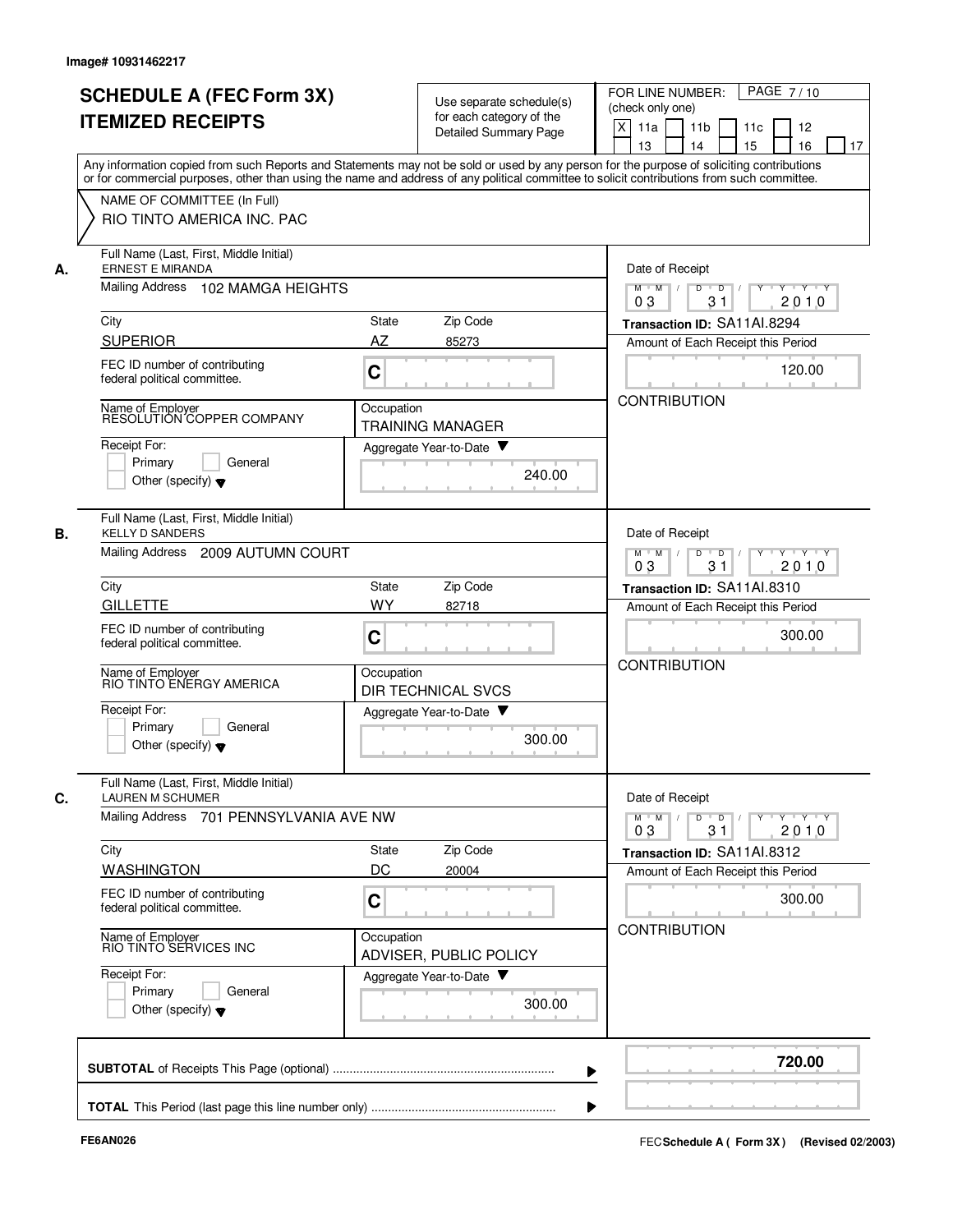|    | <b>SCHEDULE A (FEC Form 3X)</b><br><b>ITEMIZED RECEIPTS</b>                | Use separate schedule(s)<br>for each category of the<br><b>Detailed Summary Page</b>                                                                                                                                                                                                    | PAGE 7/10<br>FOR LINE NUMBER:<br>(check only one)<br>X<br>11a<br>11 <sub>b</sub><br>11c<br>12<br>15<br>16<br>13<br>14<br>17 |
|----|----------------------------------------------------------------------------|-----------------------------------------------------------------------------------------------------------------------------------------------------------------------------------------------------------------------------------------------------------------------------------------|-----------------------------------------------------------------------------------------------------------------------------|
|    | NAME OF COMMITTEE (In Full)<br>RIO TINTO AMERICA INC. PAC                  | Any information copied from such Reports and Statements may not be sold or used by any person for the purpose of soliciting contributions<br>or for commercial purposes, other than using the name and address of any political committee to solicit contributions from such committee. |                                                                                                                             |
| А. | Full Name (Last, First, Middle Initial)<br><b>ERNEST E MIRANDA</b>         |                                                                                                                                                                                                                                                                                         | Date of Receipt                                                                                                             |
|    | Mailing Address 102 MAMGA HEIGHTS                                          |                                                                                                                                                                                                                                                                                         | $M$ $M$ /<br>D<br>$Y + Y + Y$<br>$\overline{D}$<br>31<br>2010<br>03                                                         |
|    | City                                                                       | Zip Code<br>State                                                                                                                                                                                                                                                                       | Transaction ID: SA11Al.8294                                                                                                 |
|    | <b>SUPERIOR</b>                                                            | AZ<br>85273                                                                                                                                                                                                                                                                             | Amount of Each Receipt this Period                                                                                          |
|    | FEC ID number of contributing<br>federal political committee.              | $\mathbf C$                                                                                                                                                                                                                                                                             | 120.00<br><b>CONTRIBUTION</b>                                                                                               |
|    | Name of Employer<br>RESOLUTION COPPER COMPANY                              | Occupation<br><b>TRAINING MANAGER</b>                                                                                                                                                                                                                                                   |                                                                                                                             |
|    | Receipt For:                                                               | Aggregate Year-to-Date                                                                                                                                                                                                                                                                  |                                                                                                                             |
|    | Primary<br>General<br>Other (specify) $\blacktriangledown$                 | 240.00                                                                                                                                                                                                                                                                                  |                                                                                                                             |
| В. | Full Name (Last, First, Middle Initial)<br><b>KELLY D SANDERS</b>          |                                                                                                                                                                                                                                                                                         | Date of Receipt                                                                                                             |
|    | Mailing Address 2009 AUTUMN COURT                                          |                                                                                                                                                                                                                                                                                         | $M$ M<br>$Y \vdash Y \vdash Y$<br>$\vert$ /<br>D<br>$\overline{D}$<br>2010<br>03<br>31                                      |
|    | City                                                                       | Zip Code<br>State                                                                                                                                                                                                                                                                       | Transaction ID: SA11Al.8310                                                                                                 |
|    | <b>GILLETTE</b>                                                            | WY<br>82718                                                                                                                                                                                                                                                                             | Amount of Each Receipt this Period                                                                                          |
|    | FEC ID number of contributing<br>federal political committee.              | C                                                                                                                                                                                                                                                                                       | 300.00                                                                                                                      |
|    | Name of Employer<br>RIO TINTO ENERGY AMERICA                               | Occupation<br><b>DIR TECHNICAL SVCS</b>                                                                                                                                                                                                                                                 | <b>CONTRIBUTION</b>                                                                                                         |
|    | Receipt For:<br>Primary<br>General                                         | Aggregate Year-to-Date                                                                                                                                                                                                                                                                  |                                                                                                                             |
|    | Other (specify) $\blacktriangledown$                                       | 300.00                                                                                                                                                                                                                                                                                  |                                                                                                                             |
| С. | Full Name (Last, First, Middle Initial)<br><b>LAUREN M SCHUMER</b>         |                                                                                                                                                                                                                                                                                         | Date of Receipt                                                                                                             |
|    | Mailing Address 701 PENNSYLVANIA AVE NW                                    |                                                                                                                                                                                                                                                                                         | $Y$ $Y$ $Y$<br>$M$ $M$<br>D<br>$\overline{D}$<br>Y<br>2010<br>03<br>31                                                      |
|    | City                                                                       | Zip Code<br>State                                                                                                                                                                                                                                                                       | Transaction ID: SA11Al.8312                                                                                                 |
|    | <b>WASHINGTON</b>                                                          | DC<br>20004                                                                                                                                                                                                                                                                             | Amount of Each Receipt this Period                                                                                          |
|    | FEC ID number of contributing<br>federal political committee.              | C                                                                                                                                                                                                                                                                                       | 300.00                                                                                                                      |
|    | Name of Employer<br>RIO TINTO SERVICES INC                                 | Occupation<br>ADVISER, PUBLIC POLICY                                                                                                                                                                                                                                                    | <b>CONTRIBUTION</b>                                                                                                         |
|    | Receipt For:<br>Primary<br>General<br>Other (specify) $\blacktriangledown$ | Aggregate Year-to-Date<br>300.00                                                                                                                                                                                                                                                        |                                                                                                                             |
|    |                                                                            |                                                                                                                                                                                                                                                                                         | 720.00                                                                                                                      |
|    |                                                                            |                                                                                                                                                                                                                                                                                         |                                                                                                                             |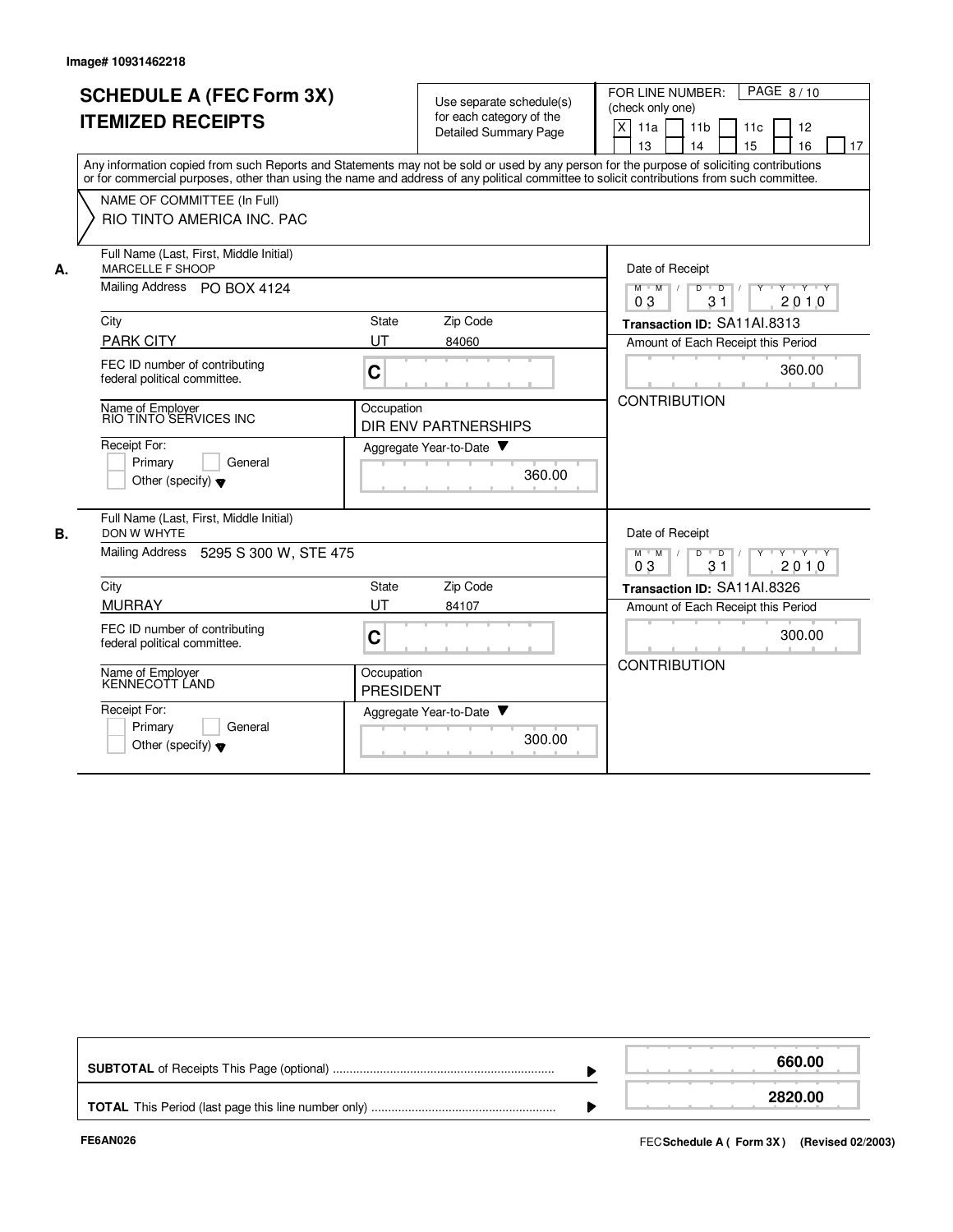|                                                                                                         | <b>SCHEDULE A (FEC Form 3X)</b><br><b>ITEMIZED RECEIPTS</b><br>Any information copied from such Reports and Statements may not be sold or used by any person for the purpose of soliciting contributions<br>or for commercial purposes, other than using the name and address of any political committee to solicit contributions from such committee. |                                | Use separate schedule(s)<br>for each category of the<br><b>Detailed Summary Page</b> |                                                                                                                                          | FOR LINE NUMBER:<br>PAGE 8/10<br>(check only one)<br>$\pmb{\times}$<br>11a<br>11 <sub>b</sub><br>11c<br>12<br>14<br>13<br>15<br>16<br>17 |  |  |  |  |  |  |
|---------------------------------------------------------------------------------------------------------|--------------------------------------------------------------------------------------------------------------------------------------------------------------------------------------------------------------------------------------------------------------------------------------------------------------------------------------------------------|--------------------------------|--------------------------------------------------------------------------------------|------------------------------------------------------------------------------------------------------------------------------------------|------------------------------------------------------------------------------------------------------------------------------------------|--|--|--|--|--|--|
|                                                                                                         | NAME OF COMMITTEE (In Full)<br>RIO TINTO AMERICA INC. PAC                                                                                                                                                                                                                                                                                              |                                |                                                                                      |                                                                                                                                          |                                                                                                                                          |  |  |  |  |  |  |
| Full Name (Last, First, Middle Initial)<br><b>MARCELLE F SHOOP</b><br>А.<br>Mailing Address PO BOX 4124 |                                                                                                                                                                                                                                                                                                                                                        |                                |                                                                                      |                                                                                                                                          | Date of Receipt<br>Y Y Y Y<br>$M$ $M$<br>D<br>$\overline{D}$<br>31<br>2010<br>03                                                         |  |  |  |  |  |  |
|                                                                                                         | City<br><b>PARK CITY</b><br>FEC ID number of contributing<br>federal political committee.                                                                                                                                                                                                                                                              | State<br>UT<br>C               | Zip Code<br>84060                                                                    |                                                                                                                                          | Transaction ID: SA11AI.8313<br>Amount of Each Receipt this Period<br>360.00                                                              |  |  |  |  |  |  |
|                                                                                                         | Name of Employer<br>RIO TINTO SERVICES INC<br>Receipt For:<br>Primary<br>General                                                                                                                                                                                                                                                                       | Occupation                     | <b>DIR ENV PARTNERSHIPS</b><br>Aggregate Year-to-Date                                | 360.00                                                                                                                                   | <b>CONTRIBUTION</b>                                                                                                                      |  |  |  |  |  |  |
| В.                                                                                                      | Other (specify) $\blacktriangledown$<br>Full Name (Last, First, Middle Initial)<br>DON W WHYTE<br>Mailing Address 5295 S 300 W, STE 475                                                                                                                                                                                                                |                                |                                                                                      | Date of Receipt<br>$\mathsf{D}$<br>$\blacksquare$ D $\blacksquare$ /<br>$Y$ <sup>U</sup><br>$Y - Y - Y$<br>$M$ $M$ /<br>2010<br>31<br>03 |                                                                                                                                          |  |  |  |  |  |  |
|                                                                                                         | City<br><b>MURRAY</b><br>FEC ID number of contributing<br>federal political committee.                                                                                                                                                                                                                                                                 | State<br>UT<br>$\mathbf C$     | Zip Code<br>84107                                                                    |                                                                                                                                          | Transaction ID: SA11AI.8326<br>Amount of Each Receipt this Period<br>300.00                                                              |  |  |  |  |  |  |
|                                                                                                         | Name of Employer<br>KENNECOTT LAND<br>Receipt For:                                                                                                                                                                                                                                                                                                     | Occupation<br><b>PRESIDENT</b> |                                                                                      |                                                                                                                                          | <b>CONTRIBUTION</b>                                                                                                                      |  |  |  |  |  |  |
|                                                                                                         | Primary<br>General<br>Other (specify) $\blacktriangledown$                                                                                                                                                                                                                                                                                             |                                | Aggregate Year-to-Date                                                               | 300.00                                                                                                                                   |                                                                                                                                          |  |  |  |  |  |  |

|  | 660.00  |
|--|---------|
|  | 2820.00 |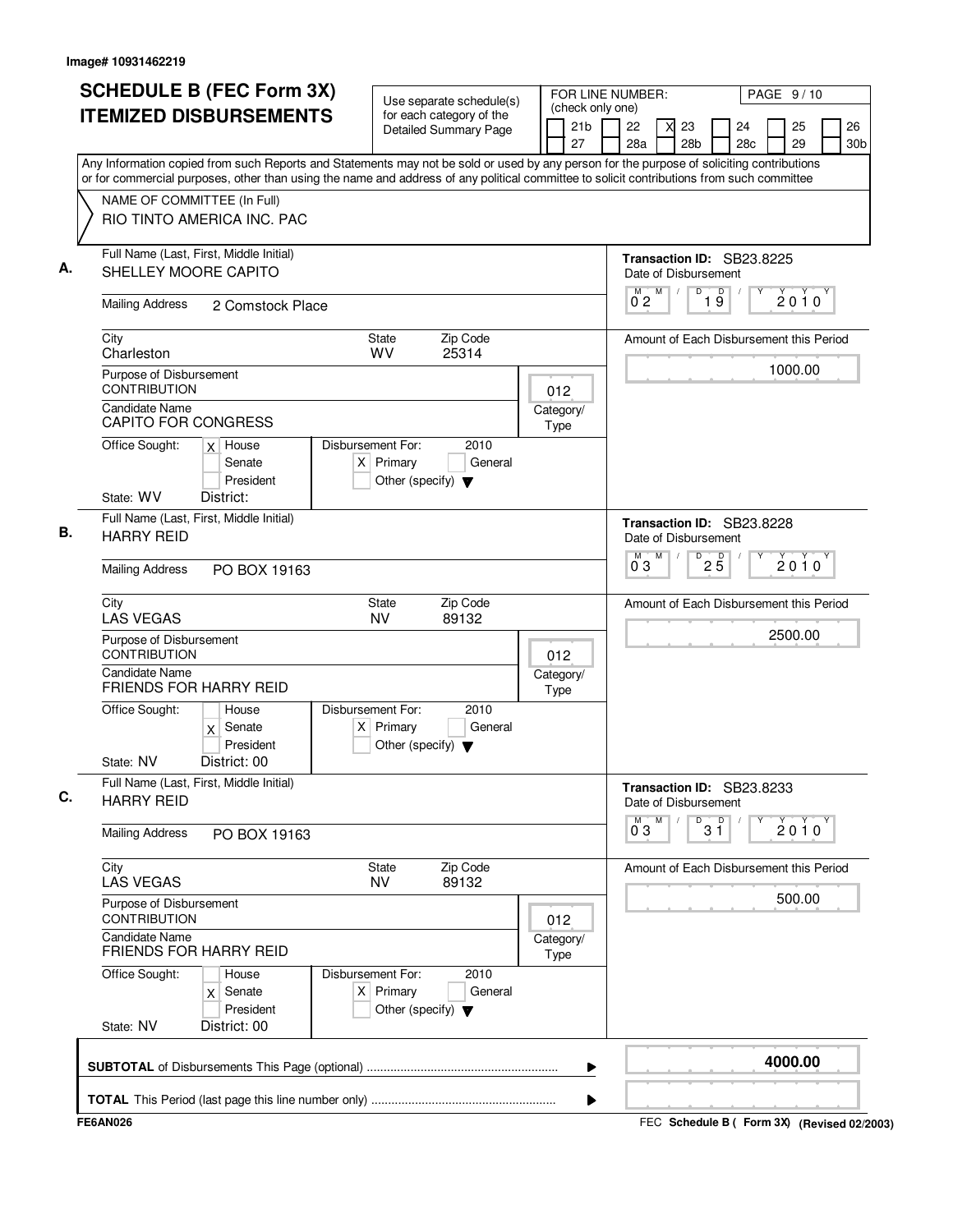|                          | <b>SCHEDULE B (FEC Form 3X)</b><br><b>ITEMIZED DISBURSEMENTS</b> |                                                                                                                                                                                                                                                                                        |  | Use separate schedule(s)<br>for each category of the                     |                              |  |                   |   | FOR LINE NUMBER:<br>PAGE 9/10<br>(check only one) |   |            |                       |                 |                                         |  |          |                       |
|--------------------------|------------------------------------------------------------------|----------------------------------------------------------------------------------------------------------------------------------------------------------------------------------------------------------------------------------------------------------------------------------------|--|--------------------------------------------------------------------------|------------------------------|--|-------------------|---|---------------------------------------------------|---|------------|-----------------------|-----------------|-----------------------------------------|--|----------|-----------------------|
|                          |                                                                  |                                                                                                                                                                                                                                                                                        |  |                                                                          | <b>Detailed Summary Page</b> |  | 21b<br>27         |   | 22<br>28a                                         |   |            | 23<br>28 <sub>b</sub> |                 | 24<br>28 <sub>c</sub>                   |  | 25<br>29 | 26<br>30 <sub>b</sub> |
|                          |                                                                  | Any Information copied from such Reports and Statements may not be sold or used by any person for the purpose of soliciting contributions<br>or for commercial purposes, other than using the name and address of any political committee to solicit contributions from such committee |  |                                                                          |                              |  |                   |   |                                                   |   |            |                       |                 |                                         |  |          |                       |
|                          |                                                                  | NAME OF COMMITTEE (In Full)<br>RIO TINTO AMERICA INC. PAC                                                                                                                                                                                                                              |  |                                                                          |                              |  |                   |   |                                                   |   |            |                       |                 |                                         |  |          |                       |
|                          |                                                                  | Full Name (Last, First, Middle Initial)<br>SHELLEY MOORE CAPITO                                                                                                                                                                                                                        |  |                                                                          |                              |  |                   |   | Date of Disbursement                              |   |            |                       |                 | Transaction ID: SB23.8225               |  |          |                       |
|                          | <b>Mailing Address</b>                                           | 2 Comstock Place                                                                                                                                                                                                                                                                       |  |                                                                          |                              |  |                   |   | M<br>02                                           | M | $\sqrt{ }$ | $\overline{D}$        | 19              |                                         |  | $2010^y$ |                       |
| City                     | Charleston                                                       |                                                                                                                                                                                                                                                                                        |  | <b>State</b><br><b>WV</b>                                                | Zip Code<br>25314            |  |                   |   |                                                   |   |            |                       |                 | Amount of Each Disbursement this Period |  |          |                       |
|                          | Purpose of Disbursement<br><b>CONTRIBUTION</b>                   |                                                                                                                                                                                                                                                                                        |  |                                                                          |                              |  | 012               |   |                                                   |   |            |                       |                 |                                         |  | 1000.00  |                       |
|                          | <b>Candidate Name</b><br><b>CAPITO FOR CONGRESS</b>              |                                                                                                                                                                                                                                                                                        |  |                                                                          |                              |  | Category/<br>Type |   |                                                   |   |            |                       |                 |                                         |  |          |                       |
|                          | Office Sought:                                                   | $x$ House<br>Senate<br>President                                                                                                                                                                                                                                                       |  | Disbursement For:<br>$X$ Primary<br>Other (specify) $\blacktriangledown$ | 2010<br>General              |  |                   |   |                                                   |   |            |                       |                 |                                         |  |          |                       |
|                          | State: WV                                                        | District:<br>Full Name (Last, First, Middle Initial)                                                                                                                                                                                                                                   |  |                                                                          |                              |  |                   |   |                                                   |   |            |                       |                 | Transaction ID: SB23.8228               |  |          |                       |
|                          | <b>HARRY REID</b>                                                |                                                                                                                                                                                                                                                                                        |  |                                                                          |                              |  |                   |   | Date of Disbursement                              | M |            | D                     |                 |                                         |  |          |                       |
|                          | <b>Mailing Address</b>                                           | PO BOX 19163                                                                                                                                                                                                                                                                           |  |                                                                          |                              |  |                   |   | $0^{\degree}3$                                    |   |            |                       | $2\overline{5}$ |                                         |  | $2010^y$ |                       |
| City                     | <b>LAS VEGAS</b>                                                 |                                                                                                                                                                                                                                                                                        |  | <b>State</b><br><b>NV</b>                                                | Zip Code<br>89132            |  |                   |   |                                                   |   |            |                       |                 | Amount of Each Disbursement this Period |  |          |                       |
|                          | Purpose of Disbursement<br><b>CONTRIBUTION</b>                   |                                                                                                                                                                                                                                                                                        |  |                                                                          |                              |  | 012               |   |                                                   |   |            |                       |                 |                                         |  | 2500.00  |                       |
|                          | <b>Candidate Name</b>                                            | <b>FRIENDS FOR HARRY REID</b>                                                                                                                                                                                                                                                          |  |                                                                          |                              |  | Category/<br>Type |   |                                                   |   |            |                       |                 |                                         |  |          |                       |
|                          | Office Sought:                                                   | House<br>$x$ Senate<br>President                                                                                                                                                                                                                                                       |  | Disbursement For:<br>$X$ Primary<br>Other (specify) $\blacktriangledown$ | 2010<br>General              |  |                   |   |                                                   |   |            |                       |                 |                                         |  |          |                       |
|                          | State: NV                                                        | District: 00                                                                                                                                                                                                                                                                           |  |                                                                          |                              |  |                   |   |                                                   |   |            |                       |                 |                                         |  |          |                       |
|                          | <b>HARRY REID</b>                                                | Full Name (Last, First, Middle Initial)                                                                                                                                                                                                                                                |  |                                                                          |                              |  |                   |   | Date of Disbursement<br>M.                        | M |            | D                     |                 | Transaction ID: SB23.8233               |  |          |                       |
|                          | <b>Mailing Address</b>                                           | PO BOX 19163                                                                                                                                                                                                                                                                           |  |                                                                          |                              |  |                   |   | $0^{\degree}3$                                    |   |            |                       | $3^{\circ}$     |                                         |  | $2010^y$ |                       |
| City                     | <b>LAS VEGAS</b>                                                 |                                                                                                                                                                                                                                                                                        |  | State<br><b>NV</b>                                                       | Zip Code<br>89132            |  |                   |   |                                                   |   |            |                       |                 | Amount of Each Disbursement this Period |  |          |                       |
|                          | Purpose of Disbursement<br><b>CONTRIBUTION</b>                   |                                                                                                                                                                                                                                                                                        |  |                                                                          |                              |  | 012               |   |                                                   |   |            |                       |                 |                                         |  | 500.00   |                       |
|                          | <b>Candidate Name</b>                                            | <b>FRIENDS FOR HARRY REID</b>                                                                                                                                                                                                                                                          |  |                                                                          |                              |  | Category/<br>Type |   |                                                   |   |            |                       |                 |                                         |  |          |                       |
|                          | Office Sought:                                                   | House<br>Senate<br>X<br>President                                                                                                                                                                                                                                                      |  | Disbursement For:<br>$X$ Primary<br>Other (specify) $\blacktriangledown$ | 2010<br>General              |  |                   |   |                                                   |   |            |                       |                 |                                         |  |          |                       |
|                          | State: NV                                                        | District: 00                                                                                                                                                                                                                                                                           |  |                                                                          |                              |  |                   |   |                                                   |   |            |                       |                 |                                         |  |          |                       |
|                          |                                                                  |                                                                                                                                                                                                                                                                                        |  |                                                                          |                              |  |                   | ▶ |                                                   |   |            |                       |                 |                                         |  | 4000.00  |                       |
|                          |                                                                  |                                                                                                                                                                                                                                                                                        |  |                                                                          |                              |  |                   |   |                                                   |   |            |                       |                 |                                         |  |          |                       |
| $\overline{\phantom{a}}$ |                                                                  |                                                                                                                                                                                                                                                                                        |  |                                                                          |                              |  |                   |   |                                                   |   |            |                       |                 |                                         |  |          |                       |

FEC **Schedule B ( ) Form 3X FE6AN026 (Revised 02/2003)**